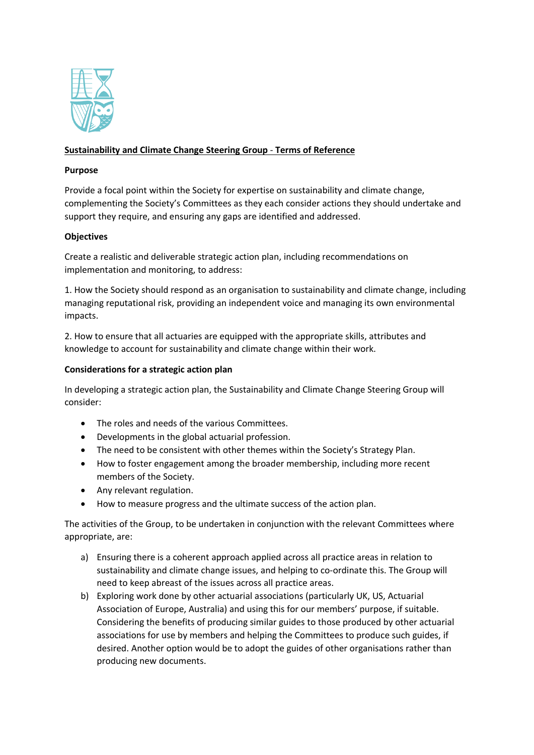

# **Sustainability and Climate Change Steering Group** - **Terms of Reference**

#### **Purpose**

Provide a focal point within the Society for expertise on sustainability and climate change, complementing the Society's Committees as they each consider actions they should undertake and support they require, and ensuring any gaps are identified and addressed.

## **Objectives**

Create a realistic and deliverable strategic action plan, including recommendations on implementation and monitoring, to address:

1. How the Society should respond as an organisation to sustainability and climate change, including managing reputational risk, providing an independent voice and managing its own environmental impacts.

2. How to ensure that all actuaries are equipped with the appropriate skills, attributes and knowledge to account for sustainability and climate change within their work.

#### **Considerations for a strategic action plan**

In developing a strategic action plan, the Sustainability and Climate Change Steering Group will consider:

- The roles and needs of the various Committees.
- Developments in the global actuarial profession.
- The need to be consistent with other themes within the Society's Strategy Plan.
- How to foster engagement among the broader membership, including more recent members of the Society.
- Any relevant regulation.
- How to measure progress and the ultimate success of the action plan.

The activities of the Group, to be undertaken in conjunction with the relevant Committees where appropriate, are:

- a) Ensuring there is a coherent approach applied across all practice areas in relation to sustainability and climate change issues, and helping to co-ordinate this. The Group will need to keep abreast of the issues across all practice areas.
- b) Exploring work done by other actuarial associations (particularly UK, US, Actuarial Association of Europe, Australia) and using this for our members' purpose, if suitable. Considering the benefits of producing similar guides to those produced by other actuarial associations for use by members and helping the Committees to produce such guides, if desired. Another option would be to adopt the guides of other organisations rather than producing new documents.